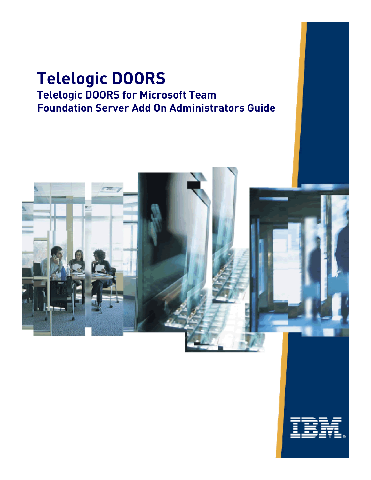## **Telelogic DOORS Telelogic DOORS for Microsoft Team Foundation Server Add On Administrators Guide**



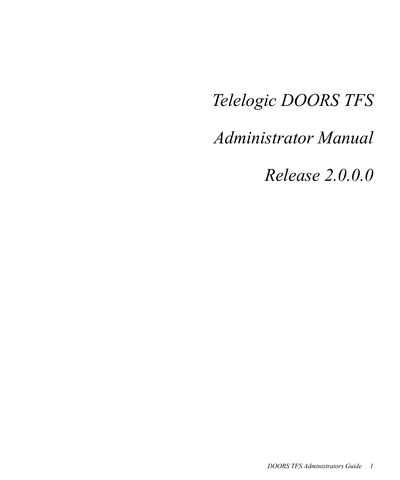## *Telelogic DOORS TFS*

*Administrator Manual*

*Release 2.0.0.0*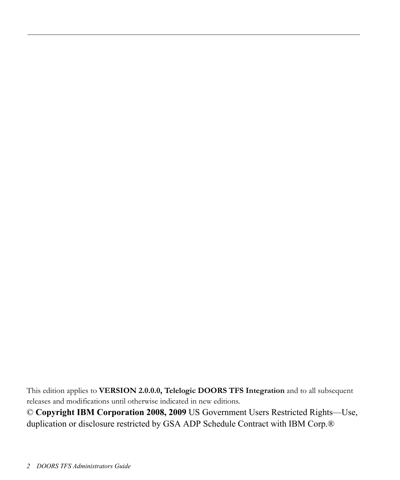This edition applies to **VERSION 2.0.0.0, Telelogic DOORS TFS Integration** and to all subsequent releases and modifications until otherwise indicated in new editions.

© **Copyright IBM Corporation 2008, 2009** US Government Users Restricted Rights—Use, duplication or disclosure restricted by GSA ADP Schedule Contract with IBM Corp.®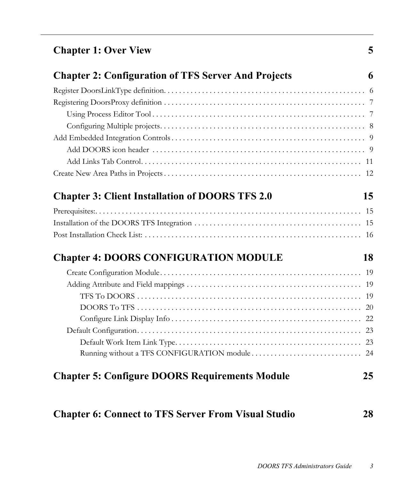| <b>Chapter 1: Over View</b> |  |
|-----------------------------|--|
|-----------------------------|--|

| <b>Chapter 2: Configuration of TFS Server And Projects</b> | 6  |
|------------------------------------------------------------|----|
|                                                            |    |
|                                                            |    |
|                                                            |    |
|                                                            |    |
|                                                            |    |
|                                                            |    |
|                                                            |    |
|                                                            |    |
| <b>Chapter 3: Client Installation of DOORS TFS 2.0</b>     | 15 |
|                                                            |    |
|                                                            |    |
|                                                            |    |
| <b>Chapter 4: DOORS CONFIGURATION MODULE</b>               | 18 |
|                                                            |    |
|                                                            |    |
|                                                            |    |
|                                                            |    |
|                                                            |    |
|                                                            |    |
|                                                            |    |
|                                                            |    |
| <b>Chapter 5: Configure DOORS Requirements Module</b>      | 25 |

### **[Chapter 6: Connect to TFS Server From Visual Studio 28](#page-28-0)**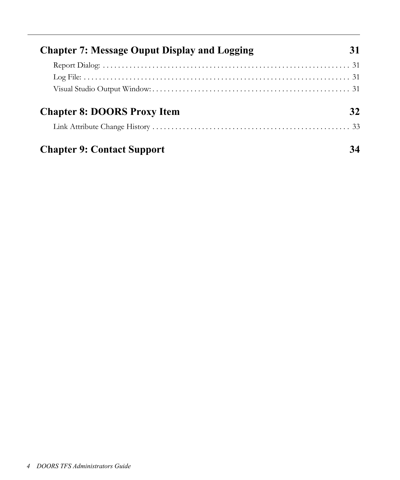| <b>Chapter 7: Message Ouput Display and Logging</b> |  |
|-----------------------------------------------------|--|
|                                                     |  |
|                                                     |  |
|                                                     |  |
| <b>Chapter 8: DOORS Proxy Item</b>                  |  |
|                                                     |  |
| <b>Chapter 9: Contact Support</b>                   |  |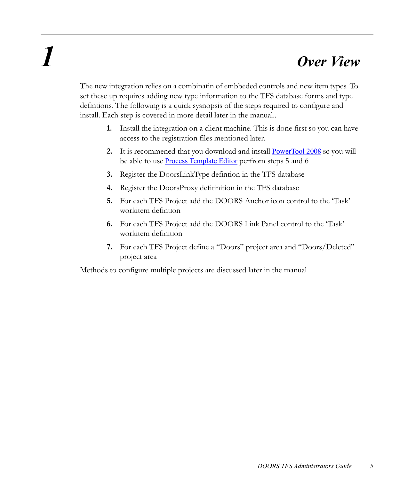# <span id="page-5-0"></span>*1 Over View*

The new integration relies on a combinatin of embbeded controls and new item types. To set these up requires adding new type information to the TFS database forms and type defintions. The following is a quick sysnopsis of the steps required to configure and install. Each step is covered in more detail later in the manual..

- **1.** Install the integration on a client machine. This is done first so you can have access to the registration files mentioned later.
- **2.** It is recommened that you download and install PowerTool 2008 so you will be able to use **Process Template Editor** perfrom steps 5 and 6
- **3.** Register the DoorsLinkType defintion in the TFS database
- **4.** Register the DoorsProxy defitinition in the TFS database
- **5.** For each TFS Project add the DOORS Anchor icon control to the 'Task' workitem defintion
- **6.** For each TFS Project add the DOORS Link Panel control to the 'Task' workitem definition
- **7.** For each TFS Project define a "Doors" project area and "Doors/Deleted" project area

Methods to configure multiple projects are discussed later in the manual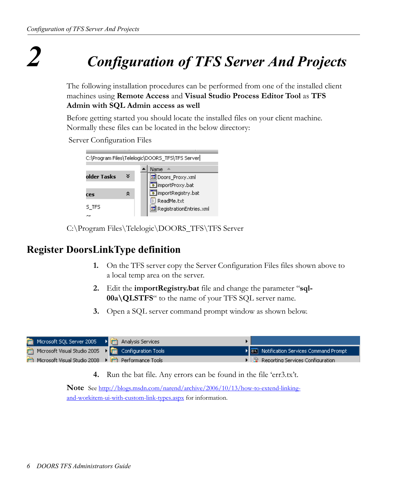<span id="page-6-0"></span>*2 Configuration of TFS Server And Projects*

The following installation procedures can be performed from one of the installed client machines using **Remote Access** and **Visual Studio Process Editor Tool** as **TFS Admin with SQL Admin access as well**

Before getting started you should locate the installed files on your client machine. Normally these files can be located in the below directory:

Server Configuration Files

| C:\Program Files\Telelogic\DOORS_TFS\TFS Server |   |                         |  |  |  |  |  |  |
|-------------------------------------------------|---|-------------------------|--|--|--|--|--|--|
|                                                 |   | Name                    |  |  |  |  |  |  |
| older Tasks                                     | × | loors_Proxy.xml         |  |  |  |  |  |  |
|                                                 |   | o importProxy.bat       |  |  |  |  |  |  |
| гес                                             | 슷 | mportRegistry.bat       |  |  |  |  |  |  |
|                                                 |   | $\ddot{=}$ ReadMe.txt   |  |  |  |  |  |  |
| S_TFS                                           |   | RegistrationEntries.xml |  |  |  |  |  |  |
|                                                 |   |                         |  |  |  |  |  |  |

C:\Program Files\Telelogic\DOORS\_TFS\TFS Server

### <span id="page-6-1"></span>**Register DoorsLinkType definition**

- **1.** On the TFS server copy the Server Configuration Files files shown above to a local temp area on the server.
- **2.** Edit the **importRegistry.bat** file and change the parameter "**sql-00a\QLSTFS**" to the name of your TFS SQL server name.
- **3.** Open a SQL server command prompt window as shown below.



**4.** Run the bat file. Any errors can be found in the file 'err3.tx't.

**Note** See [http://blogs.msdn.com/narend/archive/2006/10/13/how-to-extend-linking](http://blogs.msdn.com/narend/archive/2006/10/13/how-to-extend-linking-and-workitem-ui-with-custom-link-types.aspx" \o "External link to http://blogs.msdn.com/narend/archive/2006/10/13/how-to-extend-linking-and-workitem-ui-with-custom-link-types.aspx" \t "_PAG)[and-workitem-ui-with-custom-link-types.aspx](http://blogs.msdn.com/narend/archive/2006/10/13/how-to-extend-linking-and-workitem-ui-with-custom-link-types.aspx" \o "External link to http://blogs.msdn.com/narend/archive/2006/10/13/how-to-extend-linking-and-workitem-ui-with-custom-link-types.aspx" \t "_PAG) for information.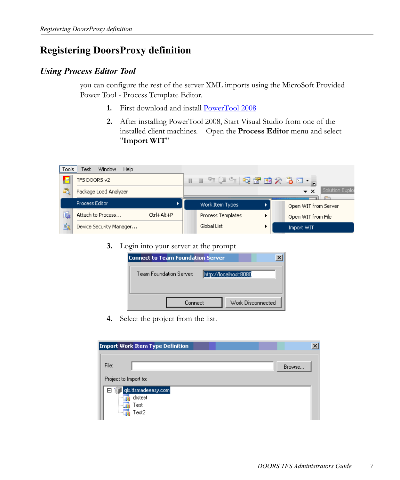### <span id="page-7-0"></span>**Registering DoorsProxy definition**

#### <span id="page-7-1"></span>*Using Process Editor Tool*

you can configure the rest of the server XML imports using the MicroSoft Provided Power Tool - Process Template Editor.

- 1. First download and install **[PowerTool 2008](http://msdn.microsoft.com/en-us/tfs2008/bb980963.aspx)**
- **2.** After installing PowerTool 2008, Start Visual Studio from one of the installed client machines. Open the **Process Editor** menu and select "**Import WIT**"

| Tools | Window<br><b>Help</b><br>Test   |                          |                                        |
|-------|---------------------------------|--------------------------|----------------------------------------|
| Ð     | TFS DOORS v2                    | H B E E E E Q Y B O T    |                                        |
|       | Package Load Analyzer           |                          | Solution Explor<br>$\mathbf{v} \times$ |
|       | <b>Process Editor</b>           | Work Item Types          | Open WIT from Server                   |
| 鼠     | Attach to Process<br>Ctrl+Alt+P | <b>Process Templates</b> | Open WIT from File                     |
| s,    | Device Security Manager         | Global List              | <b>Import WIT</b>                      |

**3.** Login into your server at the prompt

| Connect to Team Foundation Server |                       |  |  |  |  |  |  |  |
|-----------------------------------|-----------------------|--|--|--|--|--|--|--|
| Team Foundation Server:           | http://localhost:8080 |  |  |  |  |  |  |  |
|                                   |                       |  |  |  |  |  |  |  |
| Connect                           | Work Disconnected     |  |  |  |  |  |  |  |
|                                   |                       |  |  |  |  |  |  |  |

**4.** Select the project from the list.

|                       | Import Work Item Type Definition                |  |        |  |
|-----------------------|-------------------------------------------------|--|--------|--|
| File:                 |                                                 |  | Browse |  |
| Project to Import to: |                                                 |  |        |  |
| 8<br>                 | gls.tfsmadeeasy.com<br>drstest<br>Test<br>Test2 |  |        |  |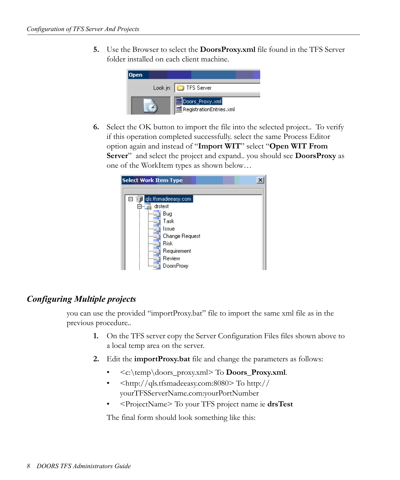**5.** Use the Browser to select the **DoorsProxy.xml** file found in the TFS Server folder installed on each client machine.



**6.** Select the OK button to import the file into the selected project.. To verify if this operation completed successfully. select the same Process Editor option again and instead of "**Import WIT**" select "**Open WIT From Server**" and select the project and expand.. you should see **DoorsProxy** as one of the WorkItem types as shown below…



#### <span id="page-8-0"></span>*Configuring Multiple projects*

you can use the provided "importProxy.bat" file to import the same xml file as in the previous procedure..

- **1.** On the TFS server copy the Server Configuration Files files shown above to a local temp area on the server.
- **2.** Edit the **importProxy.bat** file and change the parameters as follows:
	- <c:\temp\doors\_proxy.xml> To **Doors\_Proxy.xml**.
	- <http://qls.tfsmadeeasy.com:8080> To http:// yourTFSServerName.com:yourPortNumber
	- <ProjectName> To your TFS project name ie **drsTest**

The final form should look something like this: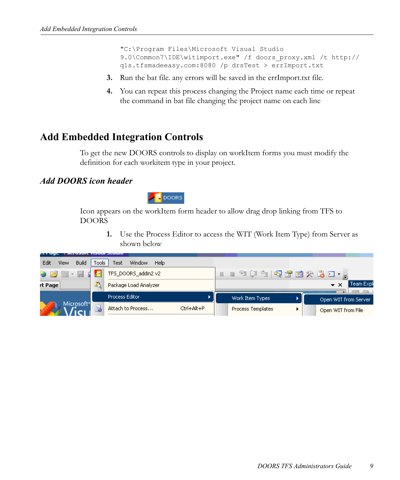"C:\Program Files\Microsoft Visual Studio 9.0\Common7\IDE\witimport.exe" /f doors\_proxy.xml /t http:// qls.tfsmadeeasy.com:8080 /p drsTest > errImport.txt

- **3.** Run the bat file. any errors will be saved in the errImport.txt file.
- **4.** You can repeat this process changing the Project name each time or repeat the command in bat file changing the project name on each line

### <span id="page-9-0"></span>**Add Embedded Integration Controls**

To get the new DOORS controls to display on workItem forms you must modify the definition for each workitem type in your project.

#### <span id="page-9-1"></span>*Add DOORS icon header*



Icon appears on the workItem form header to allow drag drop linking from TFS to DOORS

> **1.** Use the Process Editor to access the WIT (Work Item Type) from Server as shown below

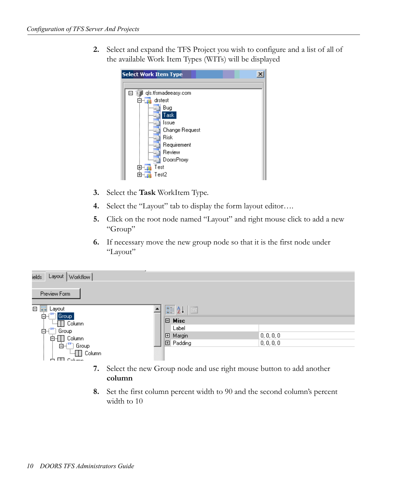**2.** Select and expand the TFS Project you wish to configure and a list of all of the available Work Item Types (WITs) will be displayed



- **3.** Select the **Task** WorkItem Type.
- **4.** Select the "Layout" tab to display the form layout editor….
- **5.** Click on the root node named "Layout" and right mouse click to add a new "Group"
- **6.** If necessary move the new group node so that it is the first node under "Layout"

| Layout  <br>Workflow<br>ields        |                  |                   |  |
|--------------------------------------|------------------|-------------------|--|
| Preview Form                         |                  |                   |  |
| 日零<br>Layout<br>ė-(<br>Group         | 圖 針<br>直         |                   |  |
| <b>Excellent</b> Column              | $\Box$ Misc      |                   |  |
| cXVm<br>ė-(<br>Group                 | Label            |                   |  |
|                                      | <b>田 Margin</b>  | 0,0,0,0           |  |
| $\overline{E}$ <sup>xv</sup> ] Group | <b>田 Padding</b> | $ 0,0,0,0\rangle$ |  |
| <b>E.</b> Column<br>图 Column<br>÷    |                  |                   |  |

- **7.** Select the new Group node and use right mouse button to add another **column**
- **8.** Set the first column percent width to 90 and the second column's percent width to 10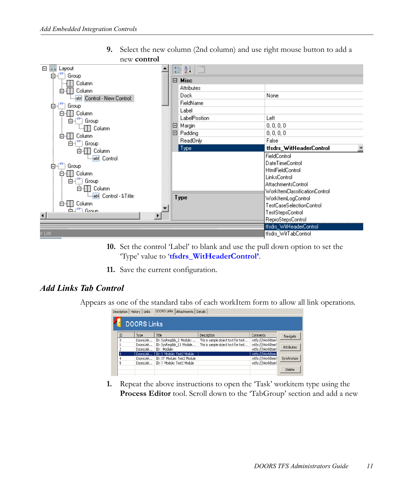**9.** Select the new column (2nd column) and use right mouse button to add a new **control**



- **10.** Set the control 'Label' to blank and use the pull down option to set the 'Type' value to '**tfsdrs\_WitHeaderControl'**.
- **11.** Save the current configuration.

#### <span id="page-11-0"></span>*Add Links Tab Control*

Appears as one of the standard tabs of each workItem form to allow all link operations.

| <b>DOORS Links</b> |           |                             |                                     |                    |                   |  |  |  |  |
|--------------------|-----------|-----------------------------|-------------------------------------|--------------------|-------------------|--|--|--|--|
|                    |           |                             |                                     |                    |                   |  |  |  |  |
| ID                 | Type      | Title                       | Description                         | Comments           | Navigate          |  |  |  |  |
| ū                  | DoorsLink | ID: SysRegdds 2 Module:     | This is sample object text for test | vstfs:///WorkItem1 |                   |  |  |  |  |
|                    | DoorsLink | ID: SysReadds 13 Module     | This is sample object text for test | vstfs:///WorkItem1 |                   |  |  |  |  |
|                    | DoorsLink | ID: Module:                 |                                     | vstfs:///WorkItem1 | <b>Attributes</b> |  |  |  |  |
| 3                  | DoorsLink | ID: 3 Module: Test2 Module  |                                     | vstfs:///WorkItem1 |                   |  |  |  |  |
|                    | DoorsLink | ID: 17 Module: Test2 Module |                                     | vstfs:///WorkItem1 | Synchronize       |  |  |  |  |
| 5                  | DoorsLink | ID: 7 Module: Test2 Module  |                                     | vstfs:///WorkItem1 |                   |  |  |  |  |
|                    |           |                             |                                     |                    | <b>Delete</b>     |  |  |  |  |

**1.** Repeat the above instructions to open the 'Task' workitem type using the **Process Editor** tool. Scroll down to the 'TabGroup' section and add a new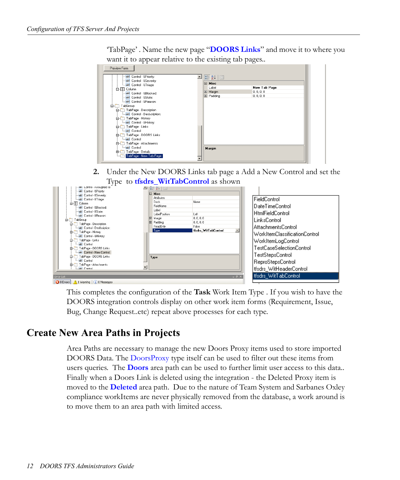'TabPage' . Name the new page "**DOORS Links**" and move it to where you want it to appear relative to the existing tab pages..

| Preview Form                                                                                                                                                                                                                                                                  |                                                                                              |
|-------------------------------------------------------------------------------------------------------------------------------------------------------------------------------------------------------------------------------------------------------------------------------|----------------------------------------------------------------------------------------------|
| abl Control - & Priority:<br>$\blacktriangle$<br>-abl Control - & Severity:                                                                                                                                                                                                   | 3121                                                                                         |
| abl Control - & Triage:<br>白-- Column<br>abl Control - & Blocked:<br>abl Control - & State:<br>abl Control - & Reason:<br>白 TabGroup<br>白 TabPage - Description<br>imabl Control - Des&cription:<br>Fig. TabPage - History<br>i-abl Control - & History:<br>白 TabPage - Links | □ Misc<br>New Tab Page<br>Label<br><b>田 Margin</b><br>0, 0, 0, 0<br>0, 0, 0, 0<br>El Padding |
| abl Control<br>白- TabPage - DOORS Links<br>-Jabl Control<br>白- TabPage - Attachments<br>abl Control<br>El- TabPage - Details<br>TabPage - New Tab Page<br>1.1                                                                                                                 | Margin                                                                                       |

**2.** Under the New DOORS Links tab page a Add a New Control and set the Type to **tfsdrs\_WitTabControl** as shown

| -901 LONTOI - ASSIMONEO TO:<br>-abl Control - & Priority: |   | - 1822 - 182           |                      |       |                               |
|-----------------------------------------------------------|---|------------------------|----------------------|-------|-------------------------------|
| -abl Control - &Severity:                                 |   | E Misc                 |                      |       |                               |
| sbil Control - &Triage:                                   |   | <b>Attributes</b>      |                      |       | FieldControl                  |
| 白-ITI Column                                              |   | <b>Dock</b>            | None                 |       |                               |
| -abl Control - &Blocked:                                  |   | FieldName              |                      |       | DateTimeControl               |
| -abl Control - &State:                                    |   | Label<br>LabelPosition | 1 eft                |       | <b>HtmlFieldControl</b>       |
| -abi Control - & Reason:                                  |   | El Margin              | 0.0.0.0              |       |                               |
| <b>E-1</b> TabGroup                                       |   | El Padding             | 0.0.0.0              |       | LinksControl                  |
| Fi- TabPage - Description<br>abl Control - Des&cription:  |   | ReadOnly               | False                |       | <b>AttachmentsControl</b>     |
| 白- TabPage - History                                      |   | Type                   | tfsdrs WitTabControl |       |                               |
| -abl Control - & History:                                 |   |                        |                      |       | WorkItemClassificationControl |
| 白一 TabPage - Links                                        |   |                        |                      |       | WorkItemLogControl            |
| abl Control                                               |   |                        |                      |       |                               |
| Fi-C TabPage - DOORS Links                                |   |                        |                      |       | TestCaseSelectionControl      |
| abl Control - New Control:                                |   |                        |                      |       | TestStepsControl              |
| 白- TabPage - DOORS Links<br>abl Control                   |   | Type                   |                      |       |                               |
| Fi- TabPage - Attachments                                 |   |                        |                      |       | ReproStepsControl             |
| Labl Control                                              | ▼ |                        |                      |       | tfsdrs_WitHeaderControl       |
|                                                           |   |                        |                      |       |                               |
| Error List                                                |   |                        |                      | $-4x$ | tfsdrs_WitTabControl          |
| <b>3 O Errors</b> 1 Warning (i) 0 Messages                |   |                        |                      |       |                               |

This completes the configuration of the **Task** Work Item Type . If you wish to have the DOORS integration controls display on other work item forms (Requirement, Issue, Bug, Change Request..etc) repeat above processes for each type.

### <span id="page-12-0"></span>**Create New Area Paths in Projects**

Area Paths are necessary to manage the new Doors Proxy items used to store imported DOORS Data. The DoorsProxy type itself can be used to filter out these items from users queries. The **Doors** area path can be used to further limit user access to this data.. Finally when a Doors Link is deleted using the integration - the Deleted Proxy item is moved to the **Deleted** area path. Due to the nature of Team System and Sarbanes Oxley compliance workItems are never physically removed from the database, a work around is to move them to an area path with limited access.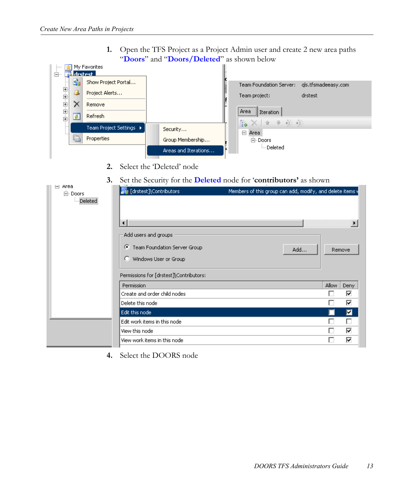**1.** Open the TFS Project as a Project Admin user and create 2 new area paths "**Doors**" and "**Doors/Deleted**" as shown below

| 1.1.1.1        |           | My Favorites            |                      |                                                |
|----------------|-----------|-------------------------|----------------------|------------------------------------------------|
| Ė~             |           | destest                 |                      |                                                |
|                | <b>Si</b> | Show Project Portal     |                      | Team Foundation Server:<br>gls.tfsmadeeasy.com |
| 电电电电电          |           | Project Alerts          |                      | drstest<br>Team project:                       |
|                |           | Remove                  |                      | <br>i Area                                     |
|                | ₫         | Refresh                 |                      | Iteration<br>$+42 + 42$<br>一合                  |
|                |           | Team Project Settings ▶ | Security             | h.                                             |
| $\ddot{\cdot}$ | e         | Properties              | Group Membership     | 日<br>Area                                      |
|                |           |                         |                      | 白·Doors                                        |
|                |           |                         | Areas and Iterations | illim Deleted                                  |
|                |           |                         |                      |                                                |

- **2.** Select the 'Deleted' node
- **3.** Set the Security for the **Deleted** node for '**contributors'** as shown

| Area<br>$\equiv$<br>白·Doors<br>Deleted | .<br>$\overline{\phantom{0}}$<br>∽<br><b>Main</b> [drstest]\Contributors<br>⊣<br>Add users and groups<br><b>C</b> Team Foundation Server Group<br>Windows User or Group<br>O.<br>Permissions for [drstest]\Contributors: | the contract of the contract of the contract of<br>۰<br>Members of this group can add, modify, and delete items v<br>Add |       | Remove |
|----------------------------------------|--------------------------------------------------------------------------------------------------------------------------------------------------------------------------------------------------------------------------|--------------------------------------------------------------------------------------------------------------------------|-------|--------|
|                                        | Permission                                                                                                                                                                                                               |                                                                                                                          | Allow | Deny   |
|                                        | Create and order child nodes                                                                                                                                                                                             |                                                                                                                          |       | ⊽      |
|                                        | Delete this node                                                                                                                                                                                                         |                                                                                                                          |       | ⊽      |
|                                        | Edit this node                                                                                                                                                                                                           |                                                                                                                          |       | ⊡      |
|                                        | Edit work items in this node                                                                                                                                                                                             |                                                                                                                          |       | П      |
|                                        | View this node                                                                                                                                                                                                           |                                                                                                                          |       | ⊽      |
|                                        | View work items in this node                                                                                                                                                                                             |                                                                                                                          |       | ⊽      |

**4.** Select the DOORS node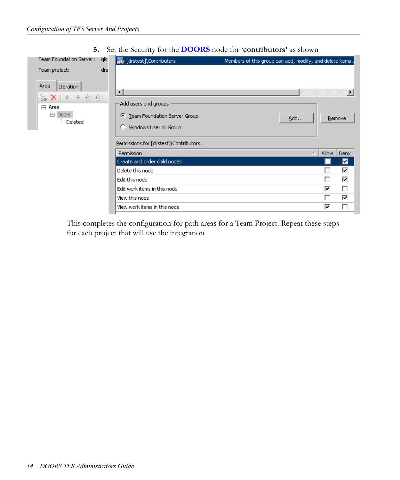**5.** Set the Security for the **DOORS** node for '**contributors'** as shown

| Team Foundation Server:                                                                                                                                                                                                                                                                                            | qls | <b>At [drstest]\Contributors</b>                                                     | Members of this group can add, modify, and delete items v |  |
|--------------------------------------------------------------------------------------------------------------------------------------------------------------------------------------------------------------------------------------------------------------------------------------------------------------------|-----|--------------------------------------------------------------------------------------|-----------------------------------------------------------|--|
| Team project:<br>Area<br>Iteration<br>$\begin{array}{ccc} \overset{0}{\leftarrow} & \overset{1}{\leftarrow} & \overset{0}{\leftarrow} \\ \overset{0}{\leftarrow} & \overset{0}{\leftarrow} & \overset{0}{\leftarrow} & \overset{0}{\leftarrow} \end{array}$<br>ŧ.<br>Area<br>日<br>白·Doors<br><sup>i…</sup> Deleted | drs | $\overline{\bullet}$<br>Add users and groups<br>← Team Foundation Server Group       | $\blacktriangleright$<br>Add<br>Remove                    |  |
|                                                                                                                                                                                                                                                                                                                    |     | Windows User or Group<br>Ю.<br>Permissions for [drstest]\Contributors:<br>Permission | <b>Allow</b><br>A<br>Deny                                 |  |
|                                                                                                                                                                                                                                                                                                                    |     | Create and order child nodes                                                         | ◪                                                         |  |
|                                                                                                                                                                                                                                                                                                                    |     | Delete this node                                                                     | ⊽                                                         |  |
|                                                                                                                                                                                                                                                                                                                    |     | Edit this node                                                                       | ⊽                                                         |  |
|                                                                                                                                                                                                                                                                                                                    |     | Edit work items in this node                                                         | ⊽<br>г                                                    |  |
|                                                                                                                                                                                                                                                                                                                    |     | View this node                                                                       | ⊽                                                         |  |
|                                                                                                                                                                                                                                                                                                                    |     | View work items in this node                                                         | ⊽                                                         |  |

This completes the configuration for path areas for a Team Project. Repeat these steps for each project that will use the integration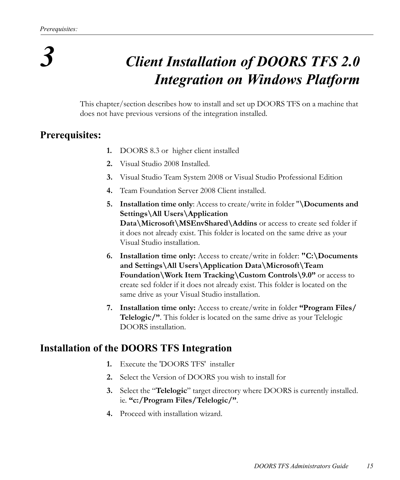## *3 Client Installation of DOORS TFS 2.0 Integration on Windows Platform*

<span id="page-15-0"></span>This chapter/section describes how to install and set up DOORS TFS on a machine that does not have previous versions of the integration installed.

### <span id="page-15-1"></span>**Prerequisites:**

- **1.** DOORS 8.3 or higher client installed
- **2.** Visual Studio 2008 Installed.
- **3.** Visual Studio Team System 2008 or Visual Studio Professional Edition
- **4.** Team Foundation Server 2008 Client installed.
- **5. Installation time only**: Access to create/write in folder "**\Documents and Settings\All Users\Application Data\Microsoft\MSEnvShared\Addins** or access to create sed folder if it does not already exist. This folder is located on the same drive as your Visual Studio installation.
- **6. Installation time only:** Access to create/write in folder: **"C:\Documents and Settings\All Users\Application Data\Microsoft\Team Foundation\Work Item Tracking\Custom Controls\9.0"** or access to create sed folder if it does not already exist. This folder is located on the same drive as your Visual Studio installation.
- **7. Installation time only:** Access to create/write in folder **"Program Files/ Telelogic/"**. This folder is located on the same drive as your Telelogic DOORS installation.

### <span id="page-15-2"></span>**Installation of the DOORS TFS Integration**

- **1.** Execute the 'DOORS TFS' installer
- **2.** Select the Version of DOORS you wish to install for
- **3.** Select the "**Telelogic**" target directory where DOORS is currently installed. ie. **"c:/Program Files/Telelogic/"**.
- **4.** Proceed with installation wizard.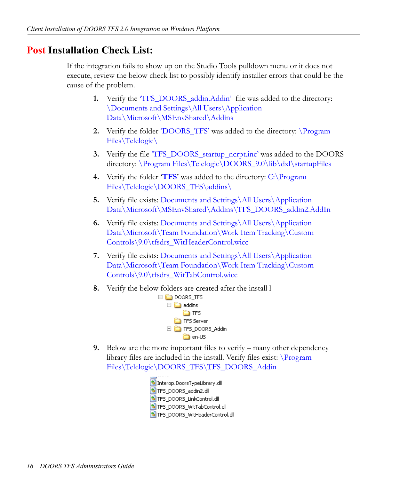### <span id="page-16-0"></span>**Post Installation Check List:**

If the integration fails to show up on the Studio Tools pulldown menu or it does not execute, review the below check list to possibly identify installer errors that could be the cause of the problem.

- **1.** Verify the 'TFS\_DOORS\_addin.Addin' file was added to the directory: \Documents and Settings\All Users\Application Data\Microsoft\MSEnvShared\Addins
- **2.** Verify the folder **DOORS** TFS' was added to the directory: **Program** Files\Telelogic\
- **3.** Verify the file 'TFS\_DOORS\_startup\_ncrpt.inc' was added to the DOORS directory: \Program Files\Telelogic\DOORS\_9.0\lib\dxl\startupFiles
- **4.** Verify the folder '**TFS**' was added to the directory: C:\Program Files\Telelogic\DOORS\_TFS\addins\
- **5.** Verify file exists: Documents and Settings\All Users\Application Data\Microsoft\MSEnvShared\Addins\TFS\_DOORS\_addin2.AddIn
- **6.** Verify file exists: Documents and Settings\All Users\Application Data\Microsoft\Team Foundation\Work Item Tracking\Custom Controls\9.0\tfsdrs\_WitHeaderControl.wicc
- **7.** Verify file exists: Documents and Settings\All Users\Application Data\Microsoft\Team Foundation\Work Item Tracking\Custom Controls\9.0\tfsdrs\_WitTabControl.wicc
- **8.** Verify the below folders are created after the install l



- **9.** Below are the more important files to verify many other dependency library files are included in the install. Verify files exist: \Program Files\Telelogic\DOORS\_TFS\TFS\_DOORS\_Addin
	- Interop.DoorsTypeLibrary.dll TFS\_DOORS\_addin2.dll STFS\_DOORS\_LinkControl.dll STFS\_DOORS\_WitTabControl.dll STFS\_DOORS\_WitHeaderControl.dll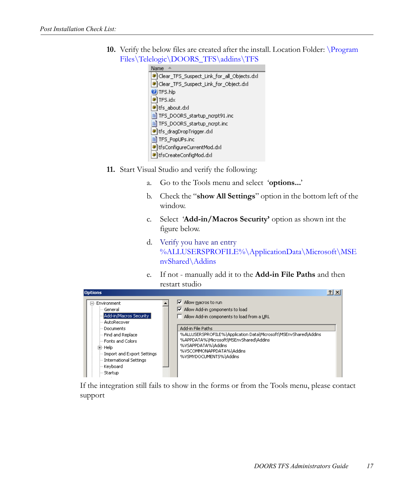**10.** Verify the below files are created after the install. Location Folder: \Program Files\Telelogic\DOORS\_TFS\addins\TFS



- **11.** Start Visual Studio and verify the following:
	- a. Go to the Tools menu and select '**options...**'
	- b. Check the "**show All Settings**" option in the bottom left of the window.
	- c. Select '**Add-in/Macros Security'** option as shown int the figure below.
	- d. Verify you have an entry %ALLUSERSPROFILE%\ApplicationData\Microsoft\MSE nvShared\Addins
	- e. If not manually add it to the **Add-in File Paths** and then restart studio



If the integration still fails to show in the forms or from the Tools menu, please contact support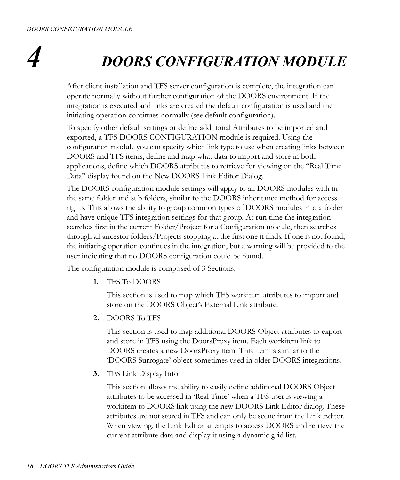## *4 DOORS CONFIGURATION MODULE*

<span id="page-18-0"></span>After client installation and TFS server configuration is complete, the integration can operate normally without further configuration of the DOORS environment. If the integration is executed and links are created the default configuration is used and the initiating operation continues normally (see default configuration).

To specify other default settings or define additional Attributes to be imported and exported, a TFS DOORS CONFIGURATION module is required. Using the configuration module you can specify which link type to use when creating links between DOORS and TFS items, define and map what data to import and store in both applications, define which DOORS attributes to retrieve for viewing on the "Real Time Data" display found on the New DOORS Link Editor Dialog.

The DOORS configuration module settings will apply to all DOORS modules with in the same folder and sub folders, similar to the DOORS inheritance method for access rights. This allows the ability to group common types of DOORS modules into a folder and have unique TFS integration settings for that group. At run time the integration searches first in the current Folder/Project for a Configuration module, then searches through all ancestor folders/Projects stopping at the first one it finds. If one is not found, the initiating operation continues in the integration, but a warning will be provided to the user indicating that no DOORS configuration could be found.

The configuration module is composed of 3 Sections:

**1.** TFS To DOORS

This section is used to map which TFS workitem attributes to import and store on the DOORS Object's External Link attribute.

**2.** DOORS To TFS

This section is used to map additional DOORS Object attributes to export and store in TFS using the DoorsProxy item. Each workitem link to DOORS creates a new DoorsProxy item. This item is similar to the 'DOORS Surrogate' object sometimes used in older DOORS integrations.

**3.** TFS Link Display Info

This section allows the ability to easily define additional DOORS Object attributes to be accessed in 'Real Time' when a TFS user is viewing a workitem to DOORS link using the new DOORS Link Editor dialog. These attributes are not stored in TFS and can only be scene from the Link Editor. When viewing, the Link Editor attempts to access DOORS and retrieve the current attribute data and display it using a dynamic grid list.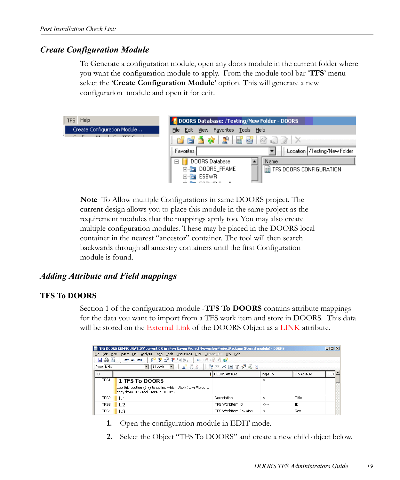#### <span id="page-19-0"></span>*Create Configuration Module*

To Generate a configuration module, open any doors module in the current folder where you want the configuration module to apply. From the module tool bar '**TFS**' menu select the '**Create Configuration Module**' option. This will generate a new configuration module and open it for edit.



**Note** To Allow multiple Configurations in same DOORS project. The current design allows you to place this module in the same project as the requirement modules that the mappings apply too. You may also create multiple configuration modules. These may be placed in the DOORS local container in the nearest "ancestor" container. The tool will then search backwards through all ancestry containers until the first Configuration module is found.

#### <span id="page-19-1"></span>*Adding Attribute and Field mappings*

#### <span id="page-19-2"></span>**TFS To DOORS**

Section 1 of the configuration module -**TFS To DOORS** contains attribute mappings for the data you want to import from a TFS work item and store in DOORS. This data will be stored on the External Link of the DOORS Object as a LINK attribute.

|              | TIFS DOORS CONFIGURATION' current 0.0 in /New Raven Project/NovemberProjectPackage (Formal module) - DOORS |                              |         |                      | $ \Box$ $\times$  |
|--------------|------------------------------------------------------------------------------------------------------------|------------------------------|---------|----------------------|-------------------|
| Edit<br>File | Insert Link Analysis Table Tools<br>Discussions User Offrame T50 TFS Help<br>View                          |                              |         |                      |                   |
| 日命日          | 暗ず運承場品<br>$\bullet$ of $\bullet$ $\bullet$ $\bullet$<br>E <sup>+</sup> E+ ED                               |                              |         |                      |                   |
| View Main    | 晶晶系<br>$\overline{ }$<br>All levels                                                                        | ■ マ <■ マ や ん ま↓              |         |                      |                   |
| l ID         |                                                                                                            | DOORS Attribute              | Maps To | <b>TFS Attribute</b> | TFS L $\triangle$ |
| TFS1         | <b>1 TFS To DOORS</b>                                                                                      |                              | ----    |                      |                   |
|              | Use this section (1.x) to define which Work Item Fields to<br>copy from TFS and Store in DOORS             |                              |         |                      |                   |
| TFS2         | 1.1                                                                                                        | Description                  | <---    | Title                |                   |
| TFS3         | 1.2                                                                                                        | TES WorkTtem ID              | <---    | ID                   |                   |
| TFS4         | 1.3                                                                                                        | <b>TFS WorkItem Revision</b> | <---    | Rev                  |                   |

- **1.** Open the configuration module in EDIT mode.
- **2.** Select the Object "TFS To DOORS" and create a new child object below.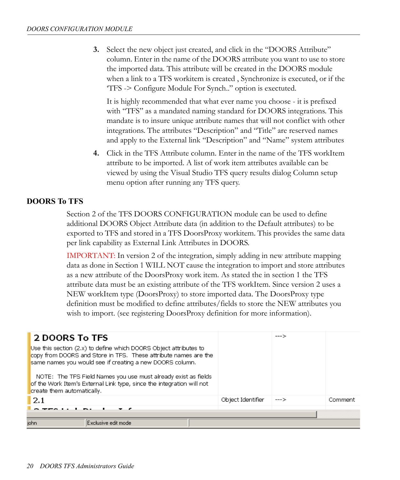**3.** Select the new object just created, and click in the "DOORS Attribute" column. Enter in the name of the DOORS attribute you want to use to store the imported data. This attribute will be created in the DOORS module when a link to a TFS workitem is created , Synchronize is executed, or if the 'TFS -> Configure Module For Synch.." option is exectuted.

It is highly recommended that what ever name you choose - it is prefixed with "TFS" as a mandated naming standard for DOORS integrations. This mandate is to insure unique attribute names that will not conflict with other integrations. The attributes "Description" and "Title" are reserved names and apply to the External link "Description" and "Name" system attributes

**4.** Click in the TFS Attribute column. Enter in the name of the TFS workItem attribute to be imported. A list of work item attributes available can be viewed by using the Visual Studio TFS query results dialog Column setup menu option after running any TFS query.

#### <span id="page-20-0"></span>**DOORS To TFS**

Section 2 of the TFS DOORS CONFIGURATION module can be used to define additional DOORS Object Attribute data (in addition to the Default attributes) to be exported to TFS and stored in a TFS DoorsProxy workitem. This provides the same data per link capability as External Link Attributes in DOORS.

IMPORTANT: In version 2 of the integration, simply adding in new attribute mapping data as done in Section 1 WILL NOT cause the integration to import and store attributes as a new attribute of the DoorsProxy work item. As stated the in section 1 the TFS attribute data must be an existing attribute of the TFS workItem. Since version 2 uses a NEW workItem type (DoorsProxy) to store imported data. The DoorsProxy type definition must be modified to define attributes/fields to store the NEW attributes you wish to import. (see registering DoorsProxy definition for more information).

| <b>2 DOORS To TFS</b>                                                                                                                                                                                                                                                                                                                                                     |                   | --- > |         |
|---------------------------------------------------------------------------------------------------------------------------------------------------------------------------------------------------------------------------------------------------------------------------------------------------------------------------------------------------------------------------|-------------------|-------|---------|
| Use this section (2.x) to define which DOORS Object attributes to<br>copy from DOORS and Store in TFS. These attribute names are the<br>same names you would see if creating a new DOORS column.<br>NOTE: The TFS Field Names you use must already exist as fields<br>of the Work Item's External Link type, since the integration will not<br>create them automatically. |                   |       |         |
| 2.1                                                                                                                                                                                                                                                                                                                                                                       | Object Identifier | --->  | Comment |
|                                                                                                                                                                                                                                                                                                                                                                           |                   |       |         |
|                                                                                                                                                                                                                                                                                                                                                                           |                   |       |         |
| john<br>Exclusive edit model                                                                                                                                                                                                                                                                                                                                              |                   |       |         |
|                                                                                                                                                                                                                                                                                                                                                                           |                   |       |         |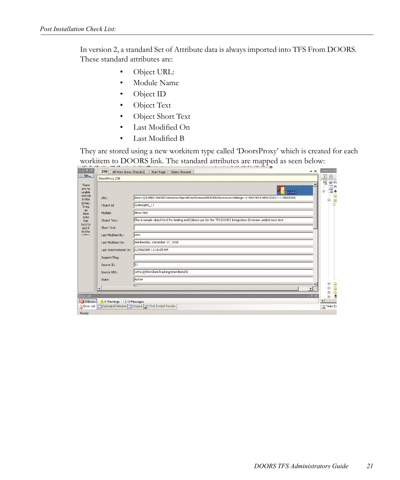In version 2, a standard Set of Attribute data is always imported into TFS From DOORS. These standard attributes are:

- Object URL:
- Module Name
- Object ID
- Object Text
- Object Short Text
- Last Modified On
- Last Modified B

They are stored using a new workitem type called 'DoorsProxy' which is created for each workitem to DOORS link. The standard attributes are mapped as seen below:

| DoorsProxy 238                                   |                                                                                                            | 西  |
|--------------------------------------------------|------------------------------------------------------------------------------------------------------------|----|
|                                                  |                                                                                                            | 瞋  |
|                                                  | <b>DOORS</b>                                                                                               | ė- |
| URL:                                             | doors://JOHN3:36690/?version=28prodID=08view=000000028urn=urn:telelogic::1-48cf34147ef6032d-O-11-00000040  |    |
| Object Id:                                       | SysReqdds_11                                                                                               |    |
| Module:                                          | demo test                                                                                                  |    |
| Object Text:                                     | This is sample object text for testing and⊡demo use for the TFS DOORS Integration ⊡version added more text |    |
| Short Text:                                      |                                                                                                            |    |
| Last Modified By:                                | john                                                                                                       |    |
| Last Modified On:                                | Wednesday, December 17, 2008                                                                               |    |
| Last Synchronized On:                            | 12/30/2008 11:18:05 AM                                                                                     |    |
| Suspect Flag:                                    |                                                                                                            |    |
| Source ID:                                       | 31                                                                                                         |    |
| Source URL:                                      | vstfs:///WorkItemTracking/WorkItem/31                                                                      |    |
| State:                                           | Active                                                                                                     |    |
| $\left  \cdot \right $                           | 5.13<br>$\ddot{\phantom{1}}$                                                                               |    |
|                                                  | $ +$ $\times$                                                                                              |    |
| 1 0 Warnings (i) 0 Messages<br><b>3</b> 0 Errors |                                                                                                            | Æ  |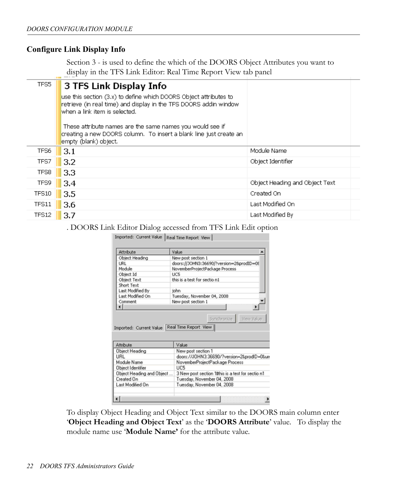#### <span id="page-22-0"></span>**Configure Link Display Info**

Section 3 - is used to define the which of the DOORS Object Attributes you want to display in the TFS Link Editor: Real Time Report View tab panel

| TFS5         | 3 TFS Link Display Info                                                                                                                                                 |                                |  |
|--------------|-------------------------------------------------------------------------------------------------------------------------------------------------------------------------|--------------------------------|--|
|              | use this section (3.x) to define which DOORS Object attributes to<br>retrieve (in real time) and display in the TFS DOORS addin window<br>when a link item is selected. |                                |  |
|              | These attribute names are the same names you would see if<br>creating a new DOORS column. To insert a blank line just create an<br>empty (blank) object.                |                                |  |
| TFS6         | 3.1                                                                                                                                                                     | Module Name                    |  |
| TFS7         | 3.2                                                                                                                                                                     | Object Identifier              |  |
| TFS8         | 3.3                                                                                                                                                                     |                                |  |
| TFS9         | 3.4                                                                                                                                                                     | Object Heading and Object Text |  |
| <b>TFS10</b> | 3.5                                                                                                                                                                     | Created On                     |  |
| <b>TFS11</b> | 3.6                                                                                                                                                                     | Last Modified On               |  |
| TFS12        | 3.7                                                                                                                                                                     | Last Modified By               |  |
|              |                                                                                                                                                                         |                                |  |

. DOORS Link Editor Dialog accessed from TFS Link Edit option

| Attribute                               | Value                                                                                                                         |
|-----------------------------------------|-------------------------------------------------------------------------------------------------------------------------------|
| Object Heading                          | New post section 1                                                                                                            |
| <b>URL</b>                              | doors://JOHN3:36690/?version=28prodID=08                                                                                      |
| Module                                  | NovemberProjectPackage Process                                                                                                |
| Object Id                               | <b>UCS</b>                                                                                                                    |
| Object Text                             | this is a test for sectio n1                                                                                                  |
| Short Text                              |                                                                                                                               |
| Last Modified By                        | iohn                                                                                                                          |
|                                         |                                                                                                                               |
| Last Modified On                        | Tuesday, November 04, 2008                                                                                                    |
| Comment                                 | New post section 1                                                                                                            |
| ۰ι                                      | View Value<br>Synchronize<br>Imported: Current Value   Real Time Report View                                                  |
|                                         |                                                                                                                               |
| Attribute                               | Value                                                                                                                         |
| Object Heading                          | New post section 1                                                                                                            |
| URL                                     |                                                                                                                               |
| Module Name                             | NovemberProjectPackage Process                                                                                                |
| Object Identifier                       | UC5                                                                                                                           |
|                                         |                                                                                                                               |
| Object Heading and Object<br>Created On | doors://JOHN3:36690/?version=2&prodID=0&un<br>3 New post section 10this is a test for sectio n1<br>Tuesday, November 04, 2008 |

To display Object Heading and Object Text similar to the DOORS main column enter '**Object Heading and Object Text**' as the '**DOORS Attribute**' value. To display the module name use '**Module Name'** for the attribute value.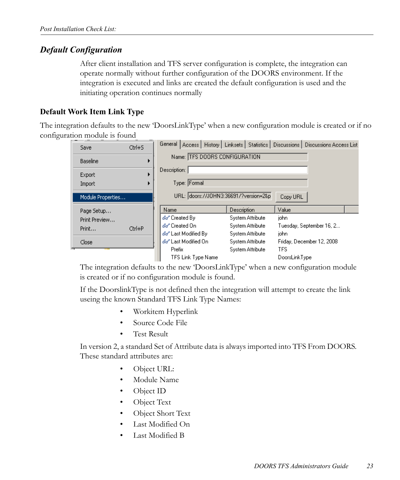#### <span id="page-23-0"></span>*Default Configuration*

After client installation and TFS server configuration is complete, the integration can operate normally without further configuration of the DOORS environment. If the integration is executed and links are created the default configuration is used and the initiating operation continues normally

#### <span id="page-23-1"></span>**Default Work Item Link Type**

The integration defaults to the new 'DoorsLinkType' when a new configuration module is created or if no configuration module is found

| Save              | $Ctrl + S$ |                                       |                  | General   Access   History   Linksets   Statistics   Discussions   Discussions Access List |
|-------------------|------------|---------------------------------------|------------------|--------------------------------------------------------------------------------------------|
| Baseline          |            | Name: TFS DOORS CONFIGURATION         |                  |                                                                                            |
| Export<br>Import  |            | Description:<br>Type: Formal          |                  |                                                                                            |
| Module Properties |            | URL: doors://J0HN3:36691/?version=2&p |                  | Copy URL                                                                                   |
|                   |            |                                       |                  |                                                                                            |
| Page Setup        |            | Name                                  | Description      | Value                                                                                      |
| Print Preview     |            | Go" Created By                        | System Attribute | iohn                                                                                       |
|                   |            | ණී Created On                         | System Attribute | Tuesday, September 16, 2                                                                   |
| Print             | Ctrl+P     | Go" Last Modified By                  | System Attribute | john.                                                                                      |
| Close             |            | Go" Last Modified On                  | System Attribute | Friday, December 12, 2008                                                                  |
|                   |            | <b>Prefix</b>                         | System Attribute | <b>TFS</b>                                                                                 |

The integration defaults to the new 'DoorsLinkType' when a new configuration module is created or if no configuration module is found.

If the DoorslinkType is not defined then the integration will attempt to create the link useing the known Standard TFS Link Type Names:

- Workitem Hyperlink
- Source Code File
- Test Result

In version 2, a standard Set of Attribute data is always imported into TFS From DOORS. These standard attributes are:

- Object URL:
- Module Name
- Object ID
- Object Text
- Object Short Text
- Last Modified On
- Last Modified B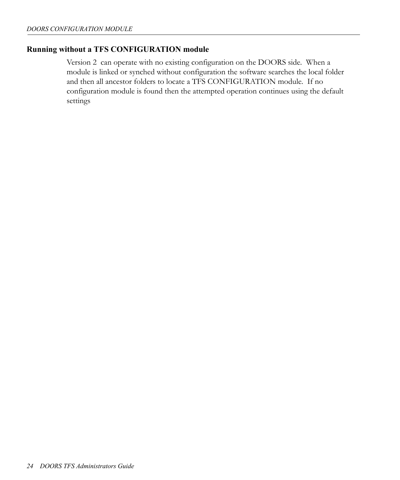#### <span id="page-24-0"></span>**Running without a TFS CONFIGURATION module**

Version 2 can operate with no existing configuration on the DOORS side. When a module is linked or synched without configuration the software searches the local folder and then all ancestor folders to locate a TFS CONFIGURATION module. If no configuration module is found then the attempted operation continues using the default settings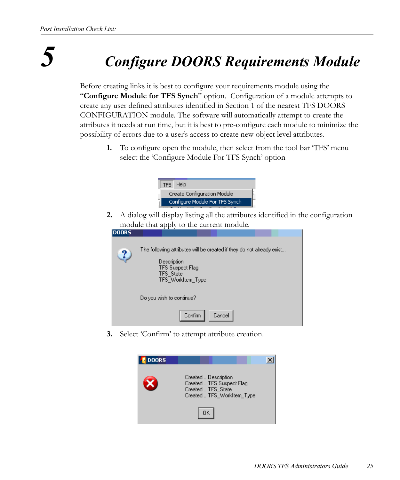## *5 Configure DOORS Requirements Module*

<span id="page-25-0"></span>Before creating links it is best to configure your requirements module using the "**Configure Module for TFS Synch**" option. Configuration of a module attempts to create any user defined attributes identified in Section 1 of the nearest TFS DOORS CONFIGURATION module. The software will automatically attempt to create the attributes it needs at run time, but it is best to pre-configure each module to minimize the possibility of errors due to a user's access to create new object level attributes.

**1.** To configure open the module, then select from the tool bar 'TFS' menu select the 'Configure Module For TFS Synch' option



**2.** A dialog will display listing all the attributes identified in the configuration module that apply to the current module.



**3.** Select 'Confirm' to attempt attribute creation.

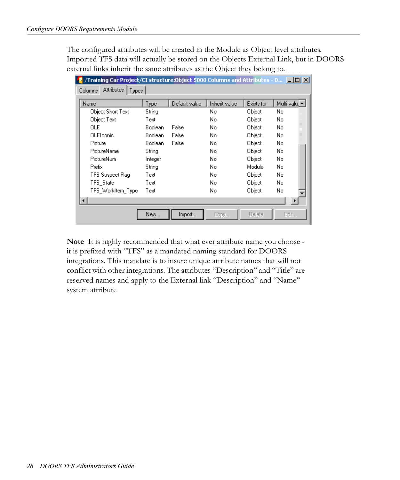The configured attributes will be created in the Module as Object level attributes. Imported TFS data will actually be stored on the Objects External Link, but in DOORS external links inherit the same attributes as the Object they belong to.

| /Training Car Project/CI structure:0bject 5000 Columns and Attributes - D… │ – │□ │×│<br><b>Attributes</b><br>Columns<br><b>Types</b> |         |               |               |               |               |
|---------------------------------------------------------------------------------------------------------------------------------------|---------|---------------|---------------|---------------|---------------|
| Name                                                                                                                                  | Type    | Default value | Inherit value | Exists for    | Multi valu. ▲ |
| Object Short Text                                                                                                                     | String  |               | No.           | Object        | No.           |
| Object Text                                                                                                                           | Text    |               | No.           | Object        | No.           |
| OLE                                                                                                                                   | Boolean | False         | No            | Object        | No.           |
| <b>OLE</b> lconic                                                                                                                     | Boolean | False         | No            | Object        | No.           |
| Picture                                                                                                                               | Boolean | False         | No            | Object        | No.           |
| PictureName                                                                                                                           | String  |               | No            | Object        | No.           |
| PictureNum                                                                                                                            | Integer |               | No            | Object        | No.           |
| Prefix                                                                                                                                | String  |               | No            | Module        | No.           |
| TFS Suspect Flag                                                                                                                      | Text    |               | No            | Object        | No.           |
| TFS_State                                                                                                                             | Text    |               | No            | Object        | No.           |
| TFS WorkItem Type                                                                                                                     | Text    |               | No            | Object        | No.           |
|                                                                                                                                       |         |               |               |               |               |
|                                                                                                                                       | New     | Import        | Copy          | <b>Delete</b> | Edit          |

**Note** It is highly recommended that what ever attribute name you choose it is prefixed with "TFS" as a mandated naming standard for DOORS integrations. This mandate is to insure unique attribute names that will not conflict with other integrations. The attributes "Description" and "Title" are reserved names and apply to the External link "Description" and "Name" system attribute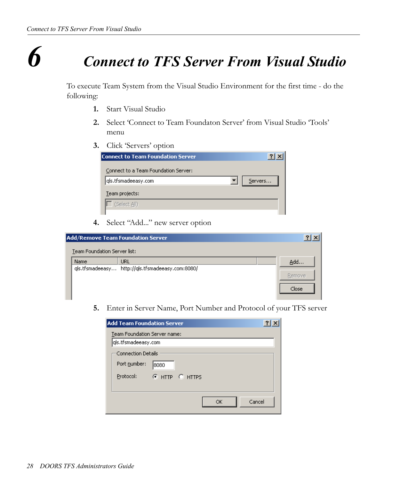### *6 Connect to TFS Server From Visual Studio*

<span id="page-28-0"></span>To execute Team System from the Visual Studio Environment for the first time - do the following:

- **1.** Start Visual Studio
- **2.** Select 'Connect to Team Foundaton Server' from Visual Studio 'Tools' menu
- **3.** Click 'Servers' option

**4.** Select "Add..." new server option

| Add/Remove Team Foundation Server | $\frac{1}{2}$                                           |        |
|-----------------------------------|---------------------------------------------------------|--------|
| Team Foundation Server list:      |                                                         |        |
| Name                              | URL<br>qls.tfsmadeeasy http://qls.tfsmadeeasy.com:8080/ | Add    |
|                                   |                                                         | Remove |
|                                   |                                                         | Close  |
|                                   |                                                         |        |

**5.** Enter in Server Name, Port Number and Protocol of your TFS server

| <b>Add Team Foundation Server</b>                      |                        |  |
|--------------------------------------------------------|------------------------|--|
| Team Foundation Server name:<br>qls.tfsmadeeasy.com    |                        |  |
| <b>Connection Details</b><br>Port number:<br>Protocol: | 8080<br>C HTTP C HTTPS |  |
|                                                        | Cancel<br>OK           |  |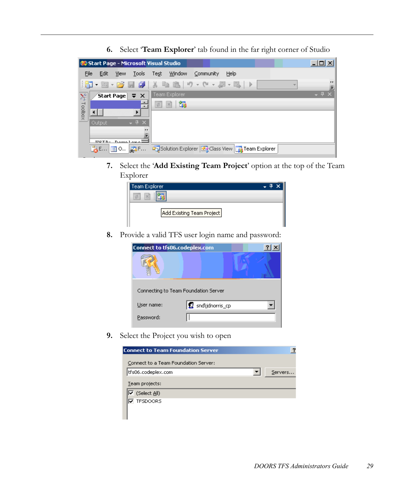|                           |         |            | Start Page - Microsoft Visual Studio            |      |                                                                                                                          |           |      |  |   | 니미          |
|---------------------------|---------|------------|-------------------------------------------------|------|--------------------------------------------------------------------------------------------------------------------------|-----------|------|--|---|-------------|
| File                      | Edit    | View       | Tools                                           | Test | Window                                                                                                                   | Community | Help |  |   |             |
|                           |         |            |                                                 |      | $\ \mathbf{E}\cdot\mathbf{E}\cdot\mathbf{E}\cdot\mathbf{E}\ $ , we have $\ \mathbf{E}\cdot\mathbf{E}\cdot\mathbf{E}\ $ . |           |      |  | × | .,          |
| $\lambda_{\rm F}^{\rm c}$ |         |            | Start Page $\frac{1}{2}$ $\frac{1}{2}$ $\times$ |      | <b>Team Explorer</b>                                                                                                     |           |      |  |   | $-4 \times$ |
|                           |         |            |                                                 | 学    | 霸<br>$\vert x \vert$                                                                                                     |           |      |  |   |             |
| Toolbox                   |         |            |                                                 |      |                                                                                                                          |           |      |  |   |             |
|                           | Output. |            | $-4x$                                           |      |                                                                                                                          |           |      |  |   |             |
|                           |         |            | .,                                              |      |                                                                                                                          |           |      |  |   |             |
|                           |         | $UCTD - D$ |                                                 |      |                                                                                                                          |           |      |  |   |             |
|                           |         |            | <b>あ□ 国○ ぬF…</b>                                |      | Solution Explorer 3 Class View 3 Team Explorer                                                                           |           |      |  |   |             |

**6.** Select '**Team Explorer**' tab found in the far right corner of Studio

**7.** Select the '**Add Existing Team Project**' option at the top of the Team Explorer

| Team Explorer             |  |
|---------------------------|--|
| $\mathcal{H}$<br>齿        |  |
|                           |  |
| Add Existing Team Project |  |
|                           |  |

**8.** Provide a valid TFS user login name and password:

| <b>Connect to tfs06.codeplex.com</b> |                 |  |
|--------------------------------------|-----------------|--|
|                                      |                 |  |
| Connecting to Team Foundation Server |                 |  |
| User name:                           | snd\jdnorris_cp |  |
| Password:                            |                 |  |

**9.** Select the Project you wish to open

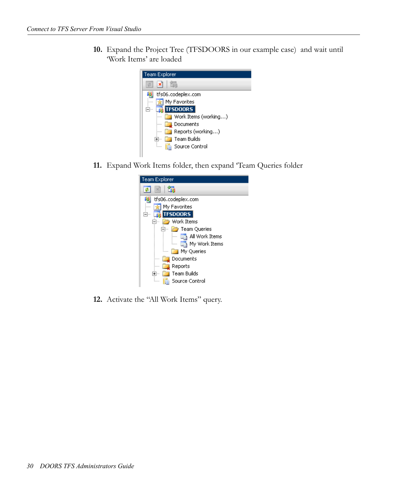**10.** Expand the Project Tree (TFSDOORS in our example case) and wait until 'Work Items' are loaded



**11.** Expand Work Items folder, then expand 'Team Queries folder



**12.** Activate the "All Work Items" query.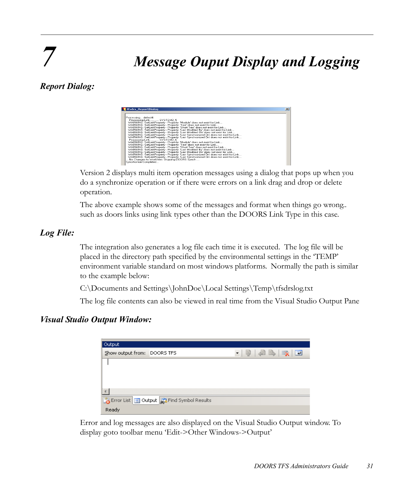## *7 Message Ouput Display and Logging*

#### <span id="page-31-1"></span><span id="page-31-0"></span>*Report Dialog:*

| tfsdrs ReportDialog                                                                 | $\vert x \vert$ |
|-------------------------------------------------------------------------------------|-----------------|
|                                                                                     |                 |
| Processingdefect4                                                                   |                 |
| Processing Link SYSTEM2 5                                                           |                 |
| WARNING: SetLinkProperty - Property: 'Module' does not exist for Link               |                 |
| WARNING: SetLinkProperty - Property: 'Text' does not exist for Link                 |                 |
| WARNING: SetLinkProperty - Property: 'Short Text' does not exist for Link           |                 |
| WARNING: SetLinkProperty - Property: 'Last Modified By' does not exist for Link     |                 |
| WARNING: SetLinkProperty - Property: 'Last Modified On' does not exist for Link     |                 |
| WARNING: SetLinkProperty - Property: 'Last Synchronized On' does not exist for Link |                 |
| WARNING: SetLinkProperty - Property: 'Last Synchronized On' does not exist for Link |                 |
| Processing Link SYSTEM2 6                                                           |                 |
| WARNING: SetLinkProperty - Property: 'Module' does not exist for Link               |                 |
| WARNING: SetLinkProperty - Property: 'Text' does not exist for Link                 |                 |
| WARNING: SetLinkProperty - Property: 'Short Text' does not exist for Link           |                 |
| WARNING: SetLinkProperty - Property: 'Last Modified By' does not exist for Link     |                 |
| WARNING: SetLinkProperty - Property: 'Last Modified On' does not exist for Link     |                 |
| WARNING: SetLinkProperty - Property: 'Last Synchronized On' does not exist for Link |                 |
| WARNING: SetLinkProperty - Property: 'Last Synchronized On' does not exist for Link |                 |
| No Changes to WorkItem: Skipping DOORS Synch                                        |                 |
| Syncrhonize Completed                                                               |                 |

Version 2 displays multi item operation messages using a dialog that pops up when you do a synchronize operation or if there were errors on a link drag and drop or delete operation.

The above example shows some of the messages and format when things go wrong.. such as doors links using link types other than the DOORS Link Type in this case.

#### <span id="page-31-2"></span>*Log File:*

The integration also generates a log file each time it is executed. The log file will be placed in the directory path specified by the environmental settings in the 'TEMP' environment variable standard on most windows platforms. Normally the path is similar to the example below:

C:\Documents and Settings\JohnDoe\Local Settings\Temp\tfsdrslog.txt

The log file contents can also be viewed in real time from the Visual Studio Output Pane

#### <span id="page-31-3"></span>*Visual Studio Output Window:*

| Output                      |                                           |                                                                 |
|-----------------------------|-------------------------------------------|-----------------------------------------------------------------|
| Show output from: DOORS TFS |                                           | $\cdot$ $\frac{1}{2}$ $\frac{1}{2}$ $\frac{1}{2}$ $\frac{1}{2}$ |
|                             |                                           |                                                                 |
|                             |                                           |                                                                 |
|                             |                                           |                                                                 |
|                             |                                           |                                                                 |
|                             | Error List 3 Output 3 Find Symbol Results |                                                                 |
| Ready                       |                                           |                                                                 |

Error and log messages are also displayed on the Visual Studio Output window. To display goto toolbar menu 'Edit->Other Windows->Output'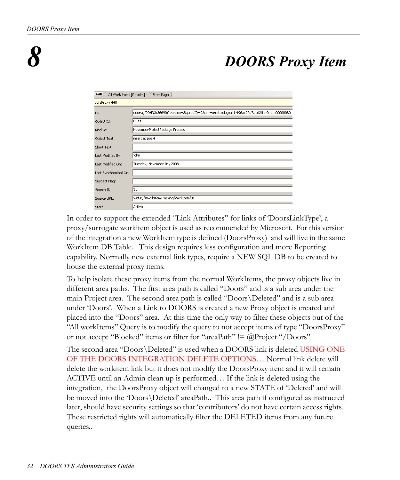### *8 DOORS Proxy Item*

<span id="page-32-0"></span>

| 448<br>All Work Items [Results]<br>Start Page |                                                                                             |  |  |  |  |
|-----------------------------------------------|---------------------------------------------------------------------------------------------|--|--|--|--|
| oorsProxy 448                                 |                                                                                             |  |  |  |  |
| URL:                                          | doors://JOHN3:36690/?version=28prodID=08urn=urn:telelogic::1-496ac77e7a1d2ffb-O-11-00000080 |  |  |  |  |
| Object Id:                                    | UC11                                                                                        |  |  |  |  |
| Module:                                       | NovemberProjectPackage Process                                                              |  |  |  |  |
| Object Text:                                  | insert at pos 4                                                                             |  |  |  |  |
| Short Text:                                   |                                                                                             |  |  |  |  |
| Last Modified By:                             | john                                                                                        |  |  |  |  |
| Last Modified On:                             | Tuesday, November 04, 2008                                                                  |  |  |  |  |
| Last Synchronized On:                         |                                                                                             |  |  |  |  |
| Suspect Flag:                                 |                                                                                             |  |  |  |  |
| Source ID:                                    | 31                                                                                          |  |  |  |  |
| Source URL:                                   | vstfs:///WorkItemTracking/WorkItem/31                                                       |  |  |  |  |
| State:                                        | Active                                                                                      |  |  |  |  |

In order to support the extended "Link Attributes" for links of 'DoorsLinkType', a proxy/surrogate workitem object is used as recommended by Microsoft. For this version of the integration a new WorkItem type is defined (DoorsProxy) and will live in the same WorkItem DB Table.. This design requires less configuration and more Reporting capability. Normally new external link types, require a NEW SQL DB to be created to house the external proxy items.

To help isolate these proxy items from the normal WorkItems, the proxy objects live in different area paths. The first area path is called "Doors" and is a sub area under the main Project area. The second area path is called "Doors\Deleted" and is a sub area under 'Doors'. When a Link to DOORS is created a new Proxy object is created and placed into the "Doors" area. At this time the only way to filter these objects out of the "All workItems" Query is to modify the query to not accept items of type "DoorsProxy" or not accept "Blocked" items or filter for "areaPath" != @Project "/Doors"

The second area "Doors\Deleted" is used when a DOORS link is deleted USING ONE OF THE DOORS INTEGRATION DELETE OPTIONS… Normal link delete will delete the workitem link but it does not modify the DoorsProxy item and it will remain ACTIVE until an Admin clean up is performed… If the link is deleted using the integration, the DoorsProxy object will changed to a new STATE of 'Deleted' and will be moved into the 'Doors\Deleted' areaPath.. This area path if configured as instructed later, should have security settings so that 'contributors' do not have certain access rights. These restricted rights will automatically filter the DELETED items from any future queries..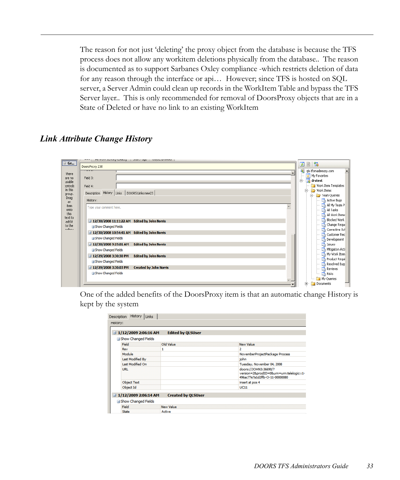The reason for not just 'deleting' the proxy object from the database is because the TFS process does not allow any workitem deletions physically from the database.. The reason is documented as to support Sarbanes Oxley compliance -which restricts deletion of data for any reason through the interface or api… However; since TFS is hosted on SQL server, a Server Admin could clean up records in the WorkItem Table and bypass the TFS Server layer.. This is only recommended for removal of DoorsProxy objects that are in a State of Deleted or have no link to an existing WorkItem

#### <span id="page-33-0"></span>*Link Attribute Change History*

 $\blacksquare$  Ge... 日国語 DoorsProxy 238 ds.tfsmadeeasy.com  $\blacktriangle$ There  $\frac{1}{\sqrt{2}}$  My Favorites Field 3: are no **B** drstest usable<br>:ontrols Work Item Templates Field 4: in this Work Items Description History Links | DOORS Links new23 | group.<br>Drag **E** 7 Team Queries Active Bugs History: an All My Team P  $\lim_{\text{onto}}$  $\blacktriangle$ Type your comment here. All Tasks All Work Items this<br>text to **Blocked Work** □ 12/30/2008 11:11:22 AM Edited by John Norris add it<br>to the Change Requi **El Show Changed Fields** Corrective Acl 3 12/30/2008 10:54:41 AM Edited by John Norris Customer Rec **El Show Changed Fields** Development **La** Issues<br>**La** Mitigation Acti 3 12/30/2008 9:19:01 AM Edited by John Norris **El Show Changed Fields** My Work Item 3 12/29/2008 3:30:30 PM Edited by John Norris Product Requi El Show Changed Fields Resolved Bug 12/29/2008 3:30:03 PM Created by John Norris **Reviews**<br>**Ligh Risks El Show Changed Fields** My Queries Documents Ėŀ

One of the added benefits of the DoorsProxy item is that an automatic change History is kept by the system

| $\exists$ 1/12/2009 2:06:16 AM | <b>Edited by QLSUser</b>                                   |                                                                                                       |
|--------------------------------|------------------------------------------------------------|-------------------------------------------------------------------------------------------------------|
| Show Changed Fields<br>Field   | Old Value                                                  | New Value                                                                                             |
| Rev                            | 1                                                          | ,                                                                                                     |
| Module                         |                                                            | NovemberProjectPackage Process                                                                        |
| Last Modified By               |                                                            | john                                                                                                  |
| Last Modified On               |                                                            | Tuesday, November 04, 2008                                                                            |
| URL.                           |                                                            | doors://JOHN3:36690/?<br>version=28.prodID=08.urn=urn:telelogic::1-<br>496ac77e7a1d2ffb-O-11-00000080 |
| <b>Object Text</b>             |                                                            | insert at pos 4                                                                                       |
| Object Id                      |                                                            | <b>UC11</b>                                                                                           |
|                                | <b>Created by OLSUser</b><br>$\equiv$ 1/12/2009 2:06:14 AM |                                                                                                       |